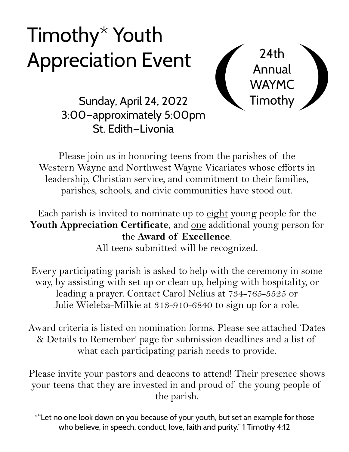# Timothy\* Youth Appreciation Event 24th



Sunday, April 24, 2022 **Timothy** 3:00—approximately 5:00pm St. Edith—Livonia

Please join us in honoring teens from the parishes of the Western Wayne and Northwest Wayne Vicariates whose efforts in leadership, Christian service, and commitment to their families, parishes, schools, and civic communities have stood out.

Each parish is invited to nominate up to eight young people for the **Youth Appreciation Certificate**, and one additional young person for the **Award of Excellence**.

All teens submitted will be recognized.

Every participating parish is asked to help with the ceremony in some way, by assisting with set up or clean up, helping with hospitality, or leading a prayer. Contact Carol Nelius at 734-765-5525 or Julie Wieleba-Milkie at 313-910-6840 to sign up for a role.

Award criteria is listed on nomination forms. Please see attached 'Dates & Details to Remember' page for submission deadlines and a list of what each participating parish needs to provide.

Please invite your pastors and deacons to attend! Their presence shows your teens that they are invested in and proud of the young people of the parish.

\*"Let no one look down on you because of your youth, but set an example for those who believe, in speech, conduct, love, faith and purity." 1 Timothy 4:12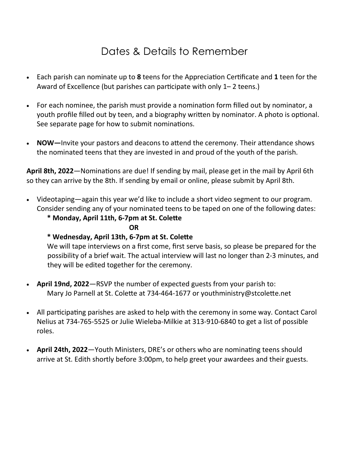# Dates & Details to Remember

- Each parish can nominate up to 8 teens for the Appreciation Certificate and 1 teen for the Award of Excellence (but parishes can participate with only 1–2 teens.)
- For each nominee, the parish must provide a nomination form filled out by nominator, a youth profile filled out by teen, and a biography written by nominator. A photo is optional. See separate page for how to submit nominations.
- **NOW**—Invite your pastors and deacons to attend the ceremony. Their attendance shows the nominated teens that they are invested in and proud of the youth of the parish.

April 8th, 2022—Nominations are due! If sending by mail, please get in the mail by April 6th so they can arrive by the 8th. If sending by email or online, please submit by April 8th.

- Videotaping—again this year we'd like to include a short video segment to our program. Consider sending any of your nominated teens to be taped on one of the following dates:
	- $*$  Monday, April 11th, 6-7pm at St. Colette

*OR* 

### **\* Wednesday, April 13th, 6-7pm at St. Cole!e**

 We will tape interviews on a first come, first serve basis, so please be prepared for the possibility of a brief wait. The actual interview will last no longer than 2-3 minutes, and they will be edited together for the ceremony.

- **April 19nd, 2022**—RSVP the number of expected guests from your parish to: Mary Jo Parnell at St. Colette at 734-464-1677 or youthministry@stcolette.net
- All participating parishes are asked to help with the ceremony in some way. Contact Carol Nelius at 734-765-5525 or Julie Wieleba-Milkie at 313-910-6840 to get a list of possible roles.
- April 24th, 2022—Youth Ministers, DRE's or others who are nominating teens should arrive at St. Edith shortly before 3:00pm, to help greet your awardees and their guests.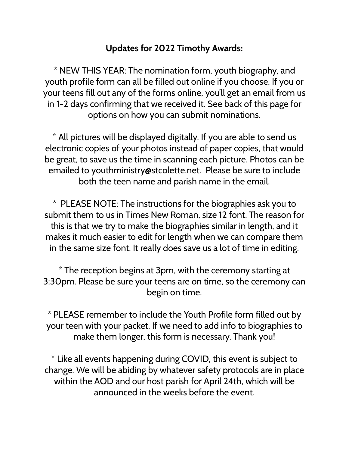# **Updates for 2022 Timothy Awards:**

\* NEW THIS YEAR: The nomination form, youth biography, and youth profile form can all be filled out online if you choose. If you or your teens fill out any of the forms online, you'll get an email from us in 1-2 days confirming that we received it. See back of this page for options on how you can submit nominations.

\* All pictures will be displayed digitally. If you are able to send us electronic copies of your photos instead of paper copies, that would be great, to save us the time in scanning each picture. Photos can be emailed to youthministry@stcolette.net. Please be sure to include both the teen name and parish name in the email.

 $*$  PLEASE NOTE: The instructions for the biographies ask you to submit them to us in Times New Roman, size 12 font. The reason for this is that we try to make the biographies similar in length, and it makes it much easier to edit for length when we can compare them in the same size font. It really does save us a lot of time in editing.

 $*$  The reception begins at 3pm, with the ceremony starting at 3:30pm. Please be sure your teens are on time, so the ceremony can begin on time.

\* PLEASE remember to include the Youth Profile form filled out by your teen with your packet. If we need to add info to biographies to make them longer, this form is necessary. Thank you!

 $*$  Like all events happening during COVID, this event is subject to change. We will be abiding by whatever safety protocols are in place within the AOD and our host parish for April 24th, which will be announced in the weeks before the event.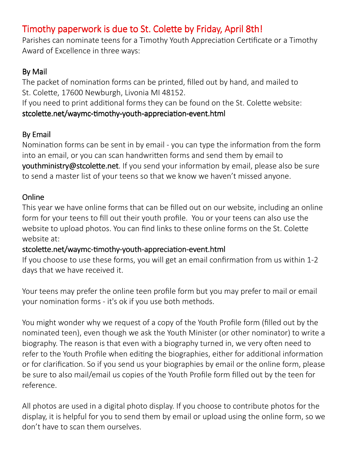# Timothy paperwork is due to St. Colette by Friday, April 8th!

Parishes can nominate teens for a Timothy Youth Appreciation Certificate or a Timothy Award of Excellence in three ways:

### By Mail

The packet of nomination forms can be printed, filled out by hand, and mailed to St. Colette, 17600 Newburgh, Livonia MI 48152.

If you need to print additional forms they can be found on the St. Colette website: stcolette.net/waymc-timothy-youth-appreciation-event.html

# By Email

Nomination forms can be sent in by email - you can type the information from the form into an email, or you can scan handwritten forms and send them by email to youthministry@stcolette.net. If you send your information by email, please also be sure to send a master list of your teens so that we know we haven't missed anyone.

### Online

This year we have online forms that can be filled out on our website, including an online form for your teens to fill out their youth profile. You or your teens can also use the website to upload photos. You can find links to these online forms on the St. Colette website at:

### stcolette.net/waymc-timothy-youth-appreciation-event.html

If you choose to use these forms, you will get an email confirmation from us within 1-2 days that we have received it.

Your teens may prefer the online teen profile form but you may prefer to mail or email your nomination forms - it's ok if you use both methods.

You might wonder why we request of a copy of the Youth Profile form (filled out by the nominated teen), even though we ask the Youth Minister (or other nominator) to write a biography. The reason is that even with a biography turned in, we very often need to refer to the Youth Profile when editing the biographies, either for additional information or for clarification. So if you send us your biographies by email or the online form, please be sure to also mail/email us copies of the Youth Profile form filled out by the teen for reference.

All photos are used in a digital photo display. If you choose to contribute photos for the display, it is helpful for you to send them by email or upload using the online form, so we don't have to scan them ourselves.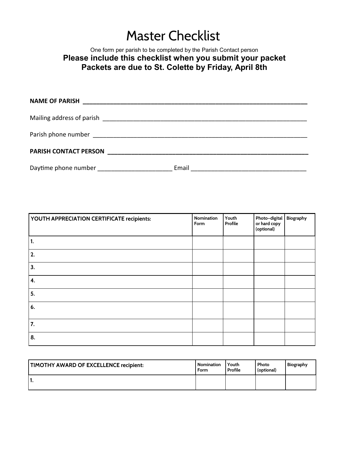# Master Checklist

### One form per parish to be completed by the Parish Contact person **Please include this checklist when you submit your packet Packets are due to St. Colette by Friday, April 8th**

| <b>PARISH CONTACT PERSON</b> |       |  |
|------------------------------|-------|--|
| Daytime phone number         | Email |  |

| YOUTH APPRECIATION CERTIFICATE recipients: | Nomination<br>Form | Youth<br>Profile | Photo-digital Biography<br>or hard copy<br>(optional) |  |
|--------------------------------------------|--------------------|------------------|-------------------------------------------------------|--|
| 1.                                         |                    |                  |                                                       |  |
| 2.                                         |                    |                  |                                                       |  |
| 3.                                         |                    |                  |                                                       |  |
| 4.                                         |                    |                  |                                                       |  |
| 5.                                         |                    |                  |                                                       |  |
| 6.                                         |                    |                  |                                                       |  |
| 7.                                         |                    |                  |                                                       |  |
| 8.                                         |                    |                  |                                                       |  |

| TIMOTHY AWARD OF EXCELLENCE recipient: | <b>Nomination</b><br>Form | Youth<br>Profile | Photo<br>(optional) | Biography |
|----------------------------------------|---------------------------|------------------|---------------------|-----------|
| . .                                    |                           |                  |                     |           |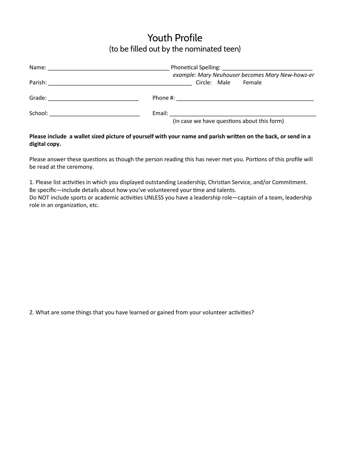# Youth Profile (to be filled out by the nominated teen)

| Name:                               | the control of the control of the control of the control of the control of the control of the control of the control of the control of the control of the control of the control of the control of the control of the control |
|-------------------------------------|-------------------------------------------------------------------------------------------------------------------------------------------------------------------------------------------------------------------------------|
| Parish:                             | example: Mary Neuhouser becomes Mary New-howz-er<br>Circle: Male Female                                                                                                                                                       |
| Grade:                              |                                                                                                                                                                                                                               |
| School: ___________________________ |                                                                                                                                                                                                                               |
|                                     | (in case we have questions about this form)                                                                                                                                                                                   |

#### Please include a wallet sized picture of yourself with your name and parish written on the back, or send in a **digital copy.**

Please answer these questions as though the person reading this has never met you. Portions of this profile will be read at the ceremony.

1. Please list activities in which you displayed outstanding Leadership, Christian Service, and/or Commitment. Be specific—include details about how you've volunteered your time and talents. Do NOT include sports or academic activities UNLESS you have a leadership role—captain of a team, leadership role in an organization, etc.

2. What are some things that you have learned or gained from your volunteer activities?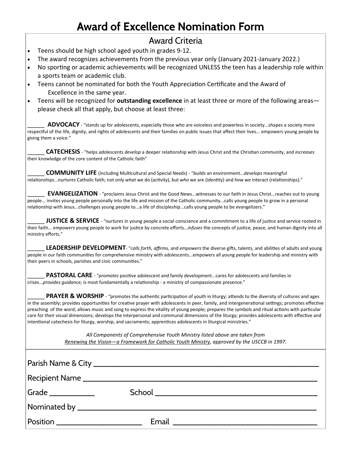# **Award of Excellence Nomination Form**

### Award Criteria

- Teens should be high school aged youth in grades 9-12.
- The award recognizes achievements from the previous year only (January 2021-January 2022.)
- No sporting or academic achievements will be recognized UNLESS the teen has a leadership role within a sports team or academic club.
- Teens cannot be nominated for both the Youth Appreciation Certificate and the Award of Excellence in the same year.
- Teens will be recognized for **outstanding excellence** in at least three or more of the following areas please check all that apply, but choose at least three:

ADVOCACY - "stands up for adolescents, especially those who are voiceless and powerless in society...shapes a society more respectful of the life, dignity, and rights of adolescents and their families on public issues that affect their lives... empowers young people by giving them a voice."

**CATECHESIS** - "helps adolescents *develop* a deeper relationship with Jesus Christ and the Christian community, and *increases* their knowledge of the core content of the Catholic faith"

\_\_\_\_\_ **COMMUNITY LIFE** (including Mulcultural and Special Needs) - "*builds* an environment...*develops* meaningful relationships...*nurtures* Catholic faith; not only what we do (activity), but who we are (identity) and how we interact (relationships)."

EVANGELIZATION - "proclaims Jesus Christ and the Good News...witnesses to our faith in Jesus Christ...reaches out to young people... invites young people personally into the life and mission of the Catholic community...calls young people to grow in a personal relationship with Jesus...challenges young people to...a life of discipleship...calls young people to be evangelizers."

**JUSTICE & SERVICE** - "nurtures in young people a social conscience and a commitment to a life of justice and service rooted in their faith... *empowers* young people to work for justice by concrete efforts...*infuses* the concepts of justice, peace, and human dignity into all ministry efforts."

LEADERSHIP DEVELOPMENT- "calls forth, affirms, and empowers the diverse gifts, talents, and abilities of adults and young people in our faith communities for comprehensive ministry with adolescents...empowers all young people for leadership and ministry with their peers in schools, parishes and civic communities."

**PASTORAL CARE** - "*promotes* positive adolescent and family development...cares for adolescents and families in crises...*provides quidance;* is most fundamentally a relationship - a ministry of compassionate presence."

**PRAYER & WORSHIP** - "promotes the authentic participation of youth in liturgy; attends to the diversity of cultures and ages in the assembly; provides opportunities for creative prayer with adolescents in peer, family, and intergenerational settings; promotes effective preaching of the word; allows music and song to express the vitality of young people; prepares the symbols and ritual actions with particular care for their visual dimensions; develops the interpersonal and communal dimensions of the liturgy; provides adolescents with effective and intentional catechesis for liturgy, worship, and sacraments; apprentices adolescents in liturgical ministries."

> *All Components of Comprehensive Youth Ministry listed above are taken from Renewing the Vision—a Framework for Catholic Youth Ministry, approved by the USCCB in 1997.*

| Position _______________________ |  |
|----------------------------------|--|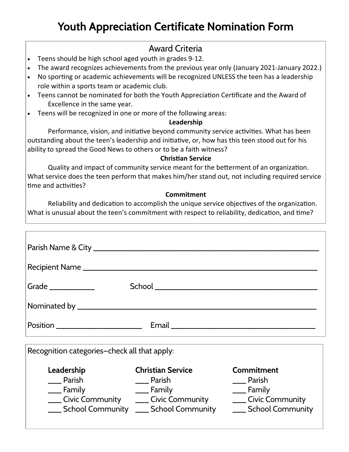# **Youth Appreciation Certificate Nomination Form**

## Award Criteria

- Teens should be high school aged youth in grades 9-12.
- The award recognizes achievements from the previous year only (January 2021-January 2022.)
- No sporting or academic achievements will be recognized UNLESS the teen has a leadership role within a sports team or academic club.
- Teens cannot be nominated for both the Youth Appreciation Certificate and the Award of Excellence in the same year.
- Teens will be recognized in one or more of the following areas:

### **Leadership**

Performance, vision, and initiative beyond community service activities. What has been outstanding about the teen's leadership and initiative, or, how has this teen stood out for his ability to spread the Good News to others or to be a faith witness?

### **Christian Service**

Quality and impact of community service meant for the betterment of an organization. What service does the teen perform that makes him/her stand out, not including required service time and activities?

### **Commitment**

Reliability and dedication to accomplish the unique service objectives of the organization. What is unusual about the teen's commitment with respect to reliability, dedication, and time?

| Recipient Name _______________________       |                                                                                            |                                                                                              |  |  |
|----------------------------------------------|--------------------------------------------------------------------------------------------|----------------------------------------------------------------------------------------------|--|--|
| Grade ____________                           |                                                                                            |                                                                                              |  |  |
|                                              |                                                                                            |                                                                                              |  |  |
|                                              |                                                                                            |                                                                                              |  |  |
| Recognition categories-check all that apply: |                                                                                            |                                                                                              |  |  |
| Leadership<br>Parish<br>___ Family           | <b>Christian Service</b><br>Parish<br>___ Family<br>School Community Lang School Community | <b>Commitment</b><br>___ Parish<br>___ Family<br>___ Civic Community<br>___ School Community |  |  |